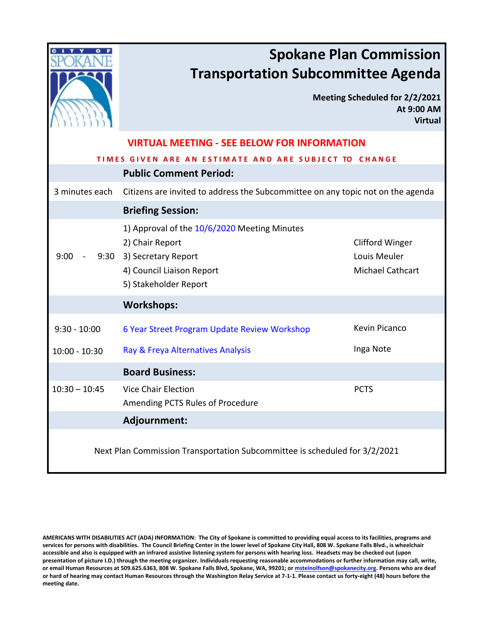|                                                                            | <b>Spokane Plan Commission</b><br><b>Transportation Subcommittee Agenda</b>                                                                       |                                                                   |  |  |  |  |
|----------------------------------------------------------------------------|---------------------------------------------------------------------------------------------------------------------------------------------------|-------------------------------------------------------------------|--|--|--|--|
|                                                                            |                                                                                                                                                   | Meeting Scheduled for 2/2/2021<br>At 9:00 AM<br><b>Virtual</b>    |  |  |  |  |
|                                                                            | <b>VIRTUAL MEETING - SEE BELOW FOR INFORMATION</b>                                                                                                |                                                                   |  |  |  |  |
| <b>TIMES G</b><br><b>IVEN ARE AN ESTIMATE AND ARE SUBJECT TO CHANGE</b>    |                                                                                                                                                   |                                                                   |  |  |  |  |
|                                                                            | <b>Public Comment Period:</b>                                                                                                                     |                                                                   |  |  |  |  |
| 3 minutes each                                                             | Citizens are invited to address the Subcommittee on any topic not on the agenda                                                                   |                                                                   |  |  |  |  |
|                                                                            | <b>Briefing Session:</b>                                                                                                                          |                                                                   |  |  |  |  |
| 9:00                                                                       | 1) Approval of the 10/6/2020 Meeting Minutes<br>2) Chair Report<br>9:30 3) Secretary Report<br>4) Council Liaison Report<br>5) Stakeholder Report | <b>Clifford Winger</b><br>Louis Meuler<br><b>Michael Cathcart</b> |  |  |  |  |
|                                                                            | <b>Workshops:</b>                                                                                                                                 |                                                                   |  |  |  |  |
| $9:30 - 10:00$                                                             | 6 Year Street Program Update Review Workshop                                                                                                      | Kevin Picanco                                                     |  |  |  |  |
| $10:00 - 10:30$                                                            | Ray & Freya Alternatives Analysis                                                                                                                 | Inga Note                                                         |  |  |  |  |
|                                                                            | <b>Board Business:</b>                                                                                                                            |                                                                   |  |  |  |  |
| $10:30 - 10:45$                                                            | <b>Vice Chair Election</b><br>Amending PCTS Rules of Procedure                                                                                    | <b>PCTS</b>                                                       |  |  |  |  |
|                                                                            | Adjournment:                                                                                                                                      |                                                                   |  |  |  |  |
| Next Plan Commission Transportation Subcommittee is scheduled for 3/2/2021 |                                                                                                                                                   |                                                                   |  |  |  |  |

**AMERICANS WITH DISABILITIES ACT (ADA) INFORMATION: The City of Spokane is committed to providing equal access to its facilities, programs and services for persons with disabilities. The Council Briefing Center in the lower level of Spokane City Hall, 808 W. Spokane Falls Blvd., is wheelchair accessible and also is equipped with an infrared assistive listening system for persons with hearing loss. Headsets may be checked out (upon presentation of picture I.D.) through the meeting organizer. Individuals requesting reasonable accommodations or further information may call, write, or email Human Resources at 509.625.6363, 808 W. Spokane Falls Blvd, Spokane, WA, 99201; o[r msteinolfson@spokanecity.org.](mailto:msteinolfson@spokanecity.org) Persons who are deaf or hard of hearing may contact Human Resources through the Washington Relay Service at 7-1-1. Please contact us forty-eight (48) hours before the meeting date.**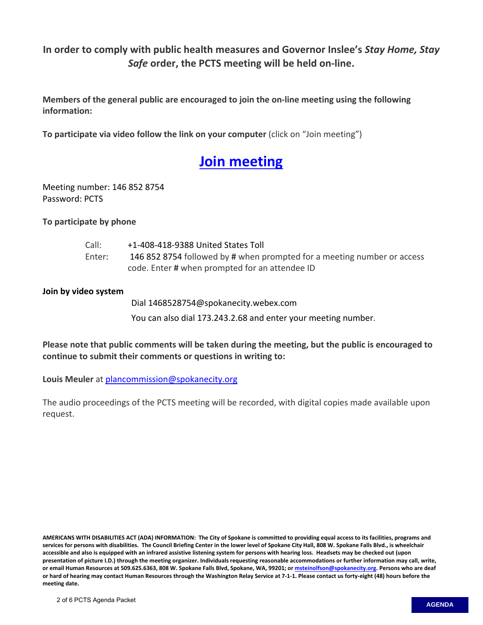**In order to comply with public health measures and Governor Inslee's** *Stay Home, Stay Safe* **order, the PCTS meeting will be held on-line.**

**Members of the general public are encouraged to join the on-line meeting using the following information:**

**To participate via video follow the link on your computer** (click on "Join meeting")

# **Join [meeting](https://spokanecity.webex.com/spokanecity/j.php?MTID=mbea7eb08002004b096db0fdb539d3e75)**

Meeting number: 146 852 8754 Password: PCTS

**To participate by phone**

| Call:  | +1-408-418-9388 United States Toll                                      |
|--------|-------------------------------------------------------------------------|
| Enter: | 146 852 8754 followed by # when prompted for a meeting number or access |
|        | code. Enter # when prompted for an attendee ID                          |

#### **Join by video system**

Dial 1468528754@spokanecity.webex.com You can also dial 173.243.2.68 and enter your meeting number.

**Please note that public comments will be taken during the meeting, but the public is encouraged to continue to submit their comments or questions in writing to:** 

**Louis Meuler** at [plancommission@spokanecity.org](mailto:plancommission@spokanecity.org)

The audio proceedings of the PCTS meeting will be recorded, with digital copies made available upon request.

**AMERICANS WITH DISABILITIES ACT (ADA) INFORMATION: The City of Spokane is committed to providing equal access to its facilities, programs and services for persons with disabilities. The Council Briefing Center in the lower level of Spokane City Hall, 808 W. Spokane Falls Blvd., is wheelchair accessible and also is equipped with an infrared assistive listening system for persons with hearing loss. Headsets may be checked out (upon presentation of picture I.D.) through the meeting organizer. Individuals requesting reasonable accommodations or further information may call, write, or email Human Resources at 509.625.6363, 808 W. Spokane Falls Blvd, Spokane, WA, 99201; o[r msteinolfson@spokanecity.org.](mailto:msteinolfson@spokanecity.org) Persons who are deaf or hard of hearing may contact Human Resources through the Washington Relay Service at 7-1-1. Please contact us forty-eight (48) hours before the meeting date.**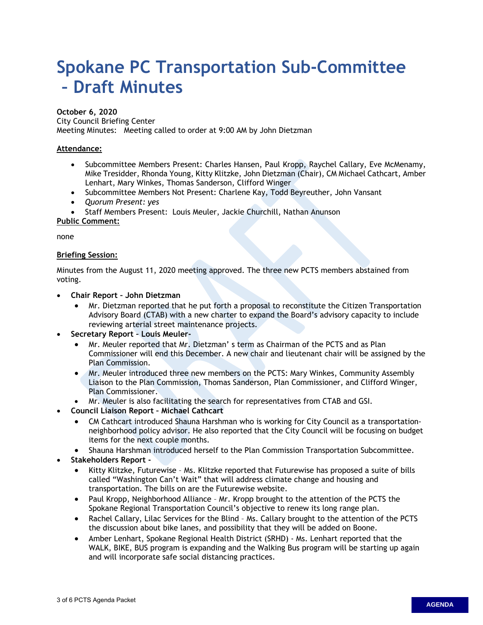# <span id="page-2-0"></span>**Spokane PC Transportation Sub-Committee – Draft Minutes**

#### **October 6, 2020**

City Council Briefing Center

Meeting Minutes: Meeting called to order at 9:00 AM by John Dietzman

#### **Attendance:**

- Subcommittee Members Present: Charles Hansen, Paul Kropp, Raychel Callary, Eve McMenamy, Mike Tresidder, Rhonda Young, Kitty Klitzke, John Dietzman (Chair), CM Michael Cathcart, Amber Lenhart, Mary Winkes, Thomas Sanderson, Clifford Winger
- Subcommittee Members Not Present: Charlene Kay, Todd Beyreuther, John Vansant
- *Quorum Present: yes*
- Staff Members Present: Louis Meuler, Jackie Churchill, Nathan Anunson

#### **Public Comment:**

none

#### **Briefing Session:**

Minutes from the August 11, 2020 meeting approved. The three new PCTS members abstained from voting.

- **Chair Report John Dietzman**
	- Mr. Dietzman reported that he put forth a proposal to reconstitute the Citizen Transportation Advisory Board (CTAB) with a new charter to expand the Board's advisory capacity to include reviewing arterial street maintenance projects.
- **Secretary Report Louis Meuler-** 
	- Mr. Meuler reported that Mr. Dietzman' s term as Chairman of the PCTS and as Plan Commissioner will end this December. A new chair and lieutenant chair will be assigned by the Plan Commission.
	- Mr. Meuler introduced three new members on the PCTS: Mary Winkes, Community Assembly Liaison to the Plan Commission, Thomas Sanderson, Plan Commissioner, and Clifford Winger, Plan Commissioner.
	- Mr. Meuler is also facilitating the search for representatives from CTAB and GSI.
- **Council Liaison Report Michael Cathcart**
	- CM Cathcart introduced Shauna Harshman who is working for City Council as a transportationneighborhood policy advisor. He also reported that the City Council will be focusing on budget items for the next couple months.
	- Shauna Harshman introduced herself to the Plan Commission Transportation Subcommittee.
- **Stakeholders Report** 
	- Kitty Klitzke, Futurewise Ms. Klitzke reported that Futurewise has proposed a suite of bills called "Washington Can't Wait" that will address climate change and housing and transportation. The bills on are the Futurewise website.
	- Paul Kropp, Neighborhood Alliance Mr. Kropp brought to the attention of the PCTS the Spokane Regional Transportation Council's objective to renew its long range plan.
	- Rachel Callary, Lilac Services for the Blind Ms. Callary brought to the attention of the PCTS the discussion about bike lanes, and possibility that they will be added on Boone.
	- Amber Lenhart, Spokane Regional Health District (SRHD) Ms. Lenhart reported that the WALK, BIKE, BUS program is expanding and the Walking Bus program will be starting up again and will incorporate safe social distancing practices.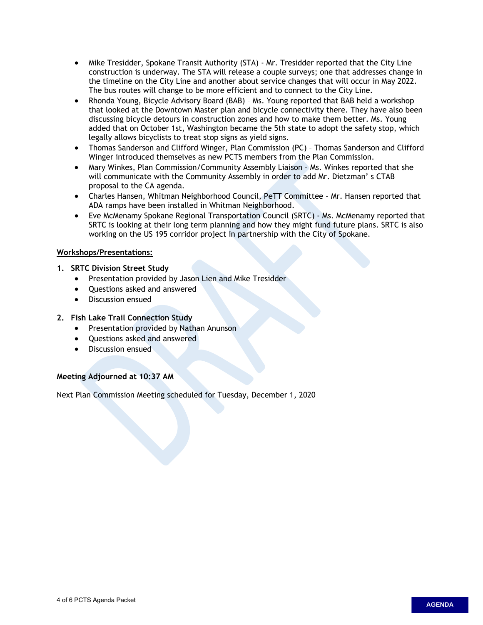- Mike Tresidder, Spokane Transit Authority (STA) Mr. Tresidder reported that the City Line construction is underway. The STA will release a couple surveys; one that addresses change in the timeline on the City Line and another about service changes that will occur in May 2022. The bus routes will change to be more efficient and to connect to the City Line.
- Rhonda Young, Bicycle Advisory Board (BAB) Ms. Young reported that BAB held a workshop that looked at the Downtown Master plan and bicycle connectivity there. They have also been discussing bicycle detours in construction zones and how to make them better. Ms. Young added that on October 1st, Washington became the 5th state to adopt the safety stop, which legally allows bicyclists to treat stop signs as yield signs.
- Thomas Sanderson and Clifford Winger, Plan Commission (PC) Thomas Sanderson and Clifford Winger introduced themselves as new PCTS members from the Plan Commission.
- Mary Winkes, Plan Commission/Community Assembly Liaison Ms. Winkes reported that she will communicate with the Community Assembly in order to add Mr. Dietzman' s CTAB proposal to the CA agenda.
- Charles Hansen, Whitman Neighborhood Council, PeTT Committee Mr. Hansen reported that ADA ramps have been installed in Whitman Neighborhood.
- Eve McMenamy Spokane Regional Transportation Council (SRTC) Ms. McMenamy reported that SRTC is looking at their long term planning and how they might fund future plans. SRTC is also working on the US 195 corridor project in partnership with the City of Spokane.

#### **Workshops/Presentations:**

#### **1. SRTC Division Street Study**

- Presentation provided by Jason Lien and Mike Tresidder
- Questions asked and answered
- Discussion ensued

#### **2. Fish Lake Trail Connection Study**

- Presentation provided by Nathan Anunson
- Questions asked and answered
- Discussion ensued

#### **Meeting Adjourned at 10:37 AM**

Next Plan Commission Meeting scheduled for Tuesday, December 1, 2020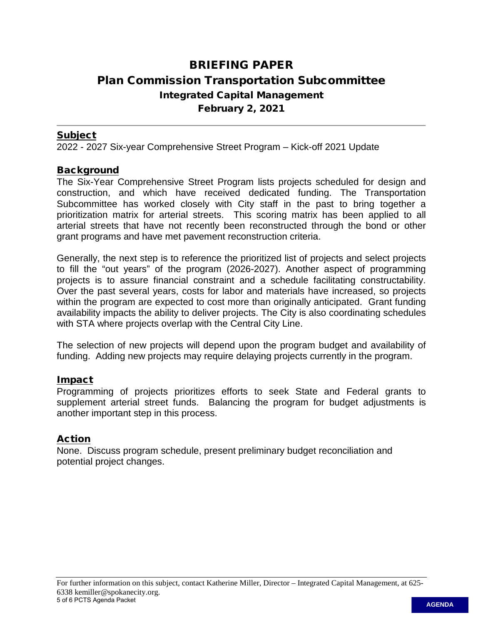# <span id="page-4-0"></span>BRIEFING PAPER Plan Commission Transportation Subcommittee Integrated Capital Management February 2, 2021

## Subject

2022 - 2027 Six-year Comprehensive Street Program – Kick-off 2021 Update

## **Background**

The Six-Year Comprehensive Street Program lists projects scheduled for design and construction, and which have received dedicated funding. The Transportation Subcommittee has worked closely with City staff in the past to bring together a prioritization matrix for arterial streets. This scoring matrix has been applied to all arterial streets that have not recently been reconstructed through the bond or other grant programs and have met pavement reconstruction criteria.

Generally, the next step is to reference the prioritized list of projects and select projects to fill the "out years" of the program (2026-2027). Another aspect of programming projects is to assure financial constraint and a schedule facilitating constructability. Over the past several years, costs for labor and materials have increased, so projects within the program are expected to cost more than originally anticipated. Grant funding availability impacts the ability to deliver projects. The City is also coordinating schedules with STA where projects overlap with the Central City Line.

The selection of new projects will depend upon the program budget and availability of funding. Adding new projects may require delaying projects currently in the program.

## Impact

Programming of projects prioritizes efforts to seek State and Federal grants to supplement arterial street funds. Balancing the program for budget adjustments is another important step in this process.

# Action

None. Discuss program schedule, present preliminary budget reconciliation and potential project changes.